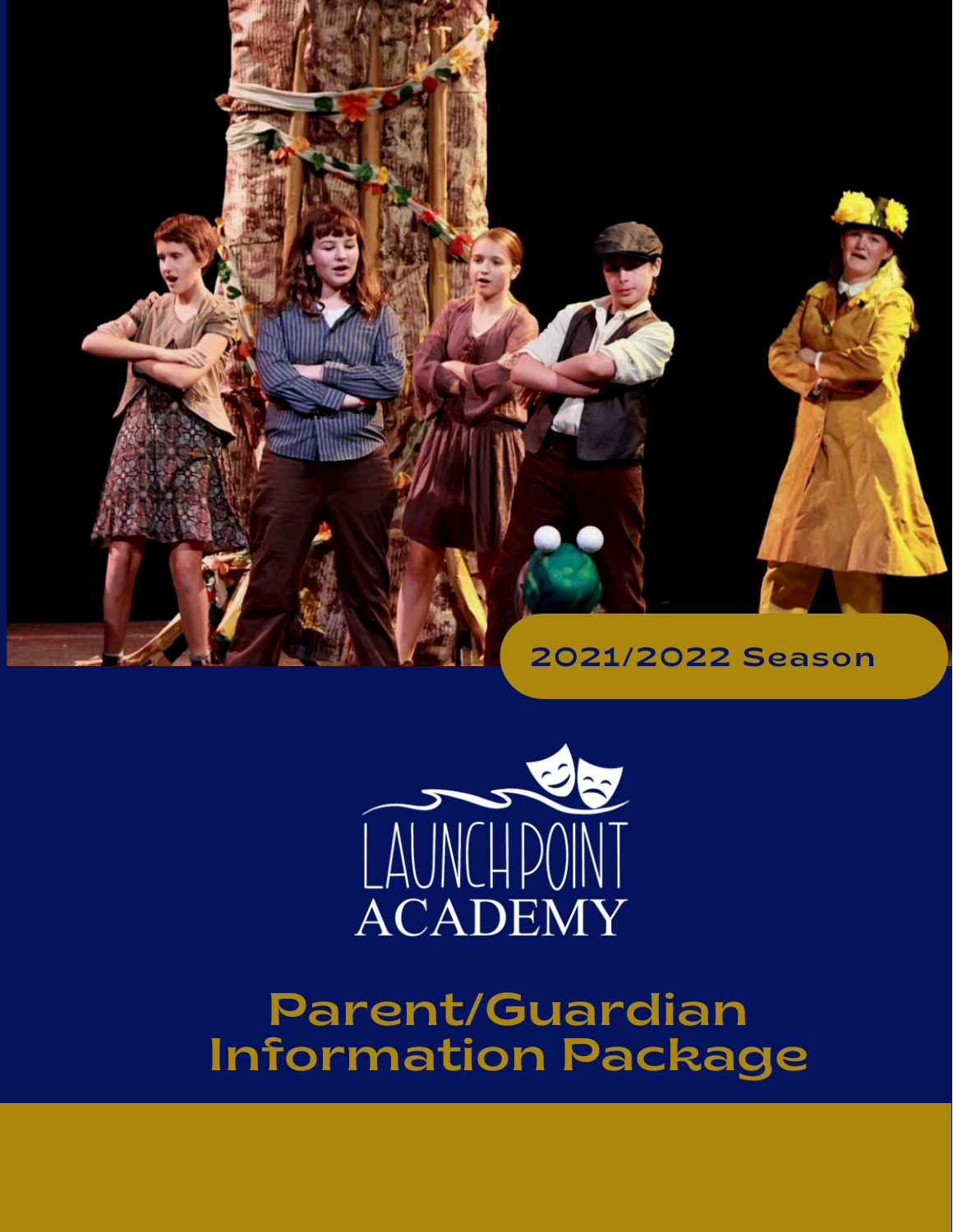



### Parent/Guardian Information Package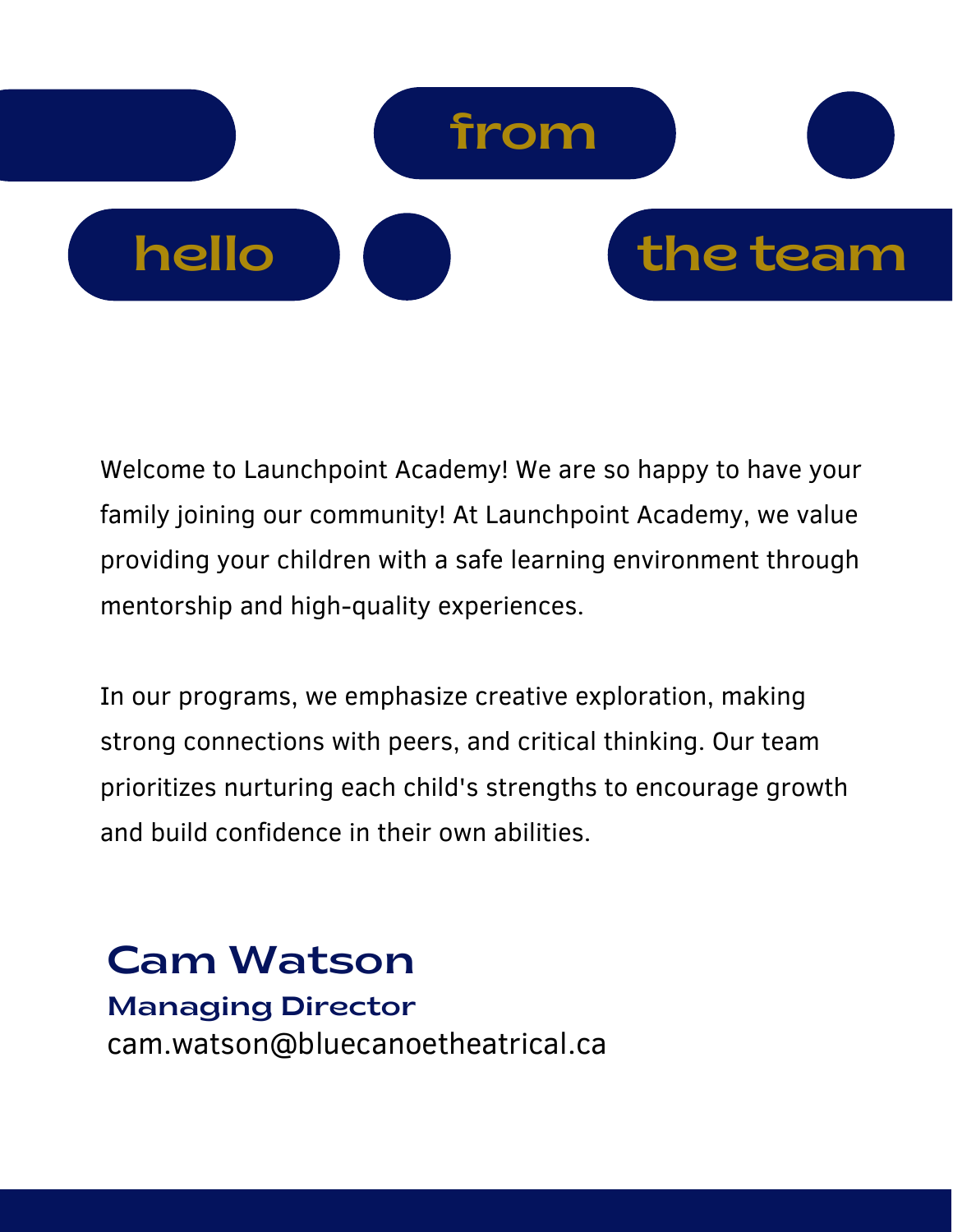

Welcome to Launchpoint Academy! We are so happy to have your family joining our community! At Launchpoint Academy, we value providing your children with a safe learning environment through mentorship and high-quality experiences.

In our programs, we emphasize creative exploration, making strong connections with peers, and critical thinking. Our team prioritizes nurturing each child's strengths to encourage growth and build confidence in their own abilities.

#### Cam Watson Managing Director cam.watson@bluecanoetheatrical.ca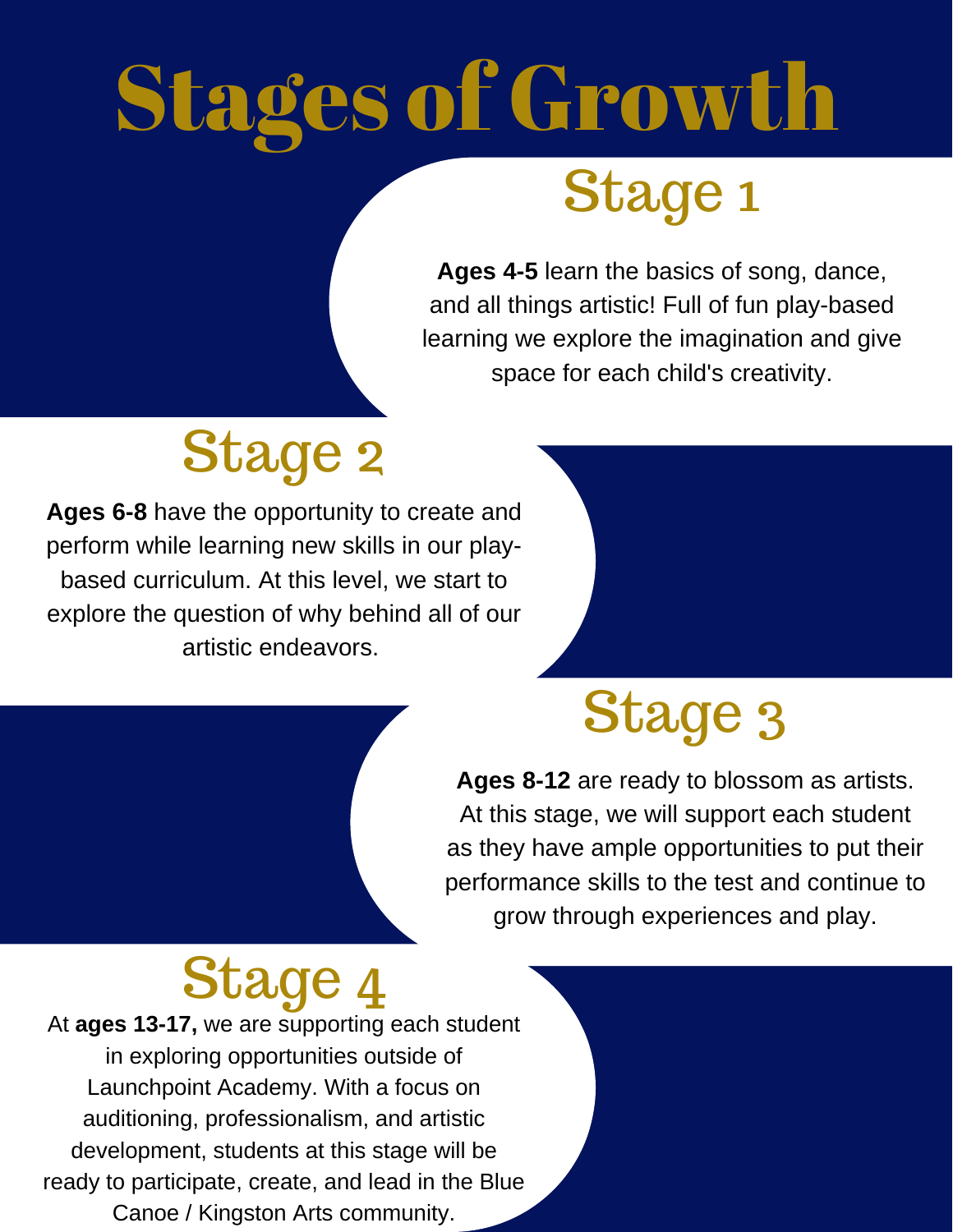# Stages of Growth Stage 1

#### **Ages 4-5** learn the basics of song, dance, and all things artistic! Full of fun play-based learning we explore the imagination and give space for each child's creativity.

### Stage 2

**Ages 6-8** have the opportunity to create and perform while learning new skills in our playbased curriculum. At this level, we start to explore the question of why behind all of our artistic endeavors.

### Stage 3

**Ages 8-12** are ready to blossom as artists. At this stage, we will support each student as they have ample opportunities to put their performance skills to the test and continue to grow through experiences and play.

### Stage 4

At **ages 13-17,** we are supporting each student in exploring opportunities outside of Launchpoint Academy. With a focus on auditioning, professionalism, and artistic development, students at this stage will be ready to participate, create, and lead in the Blue Canoe / Kingston Arts community.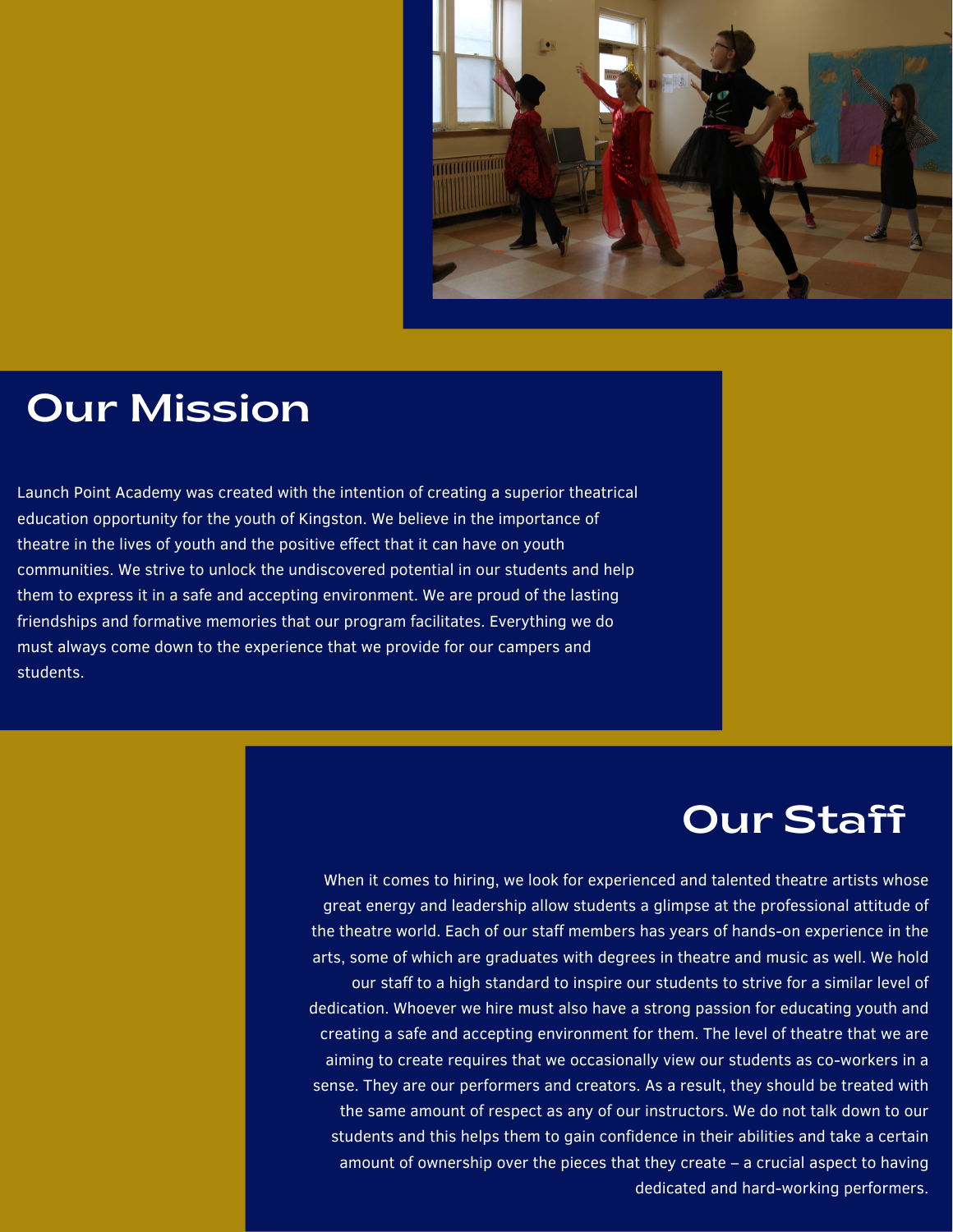

#### Our Mission

Launch Point Academy was created with the intention of creating a superior theatrical education opportunity for the youth of Kingston. We believe in the importance of theatre in the lives of youth and the positive effect that it can have on youth communities. We strive to unlock the undiscovered potential in our students and help them to express it in a safe and accepting environment. We are proud of the lasting friendships and formative memories that our program facilitates. Everything we do must always come down to the experience that we provide for our campers and students.

#### Our Staff

When it comes to hiring, we look for experienced and talented theatre artists whose great energy and leadership allow students a glimpse at the professional attitude of the theatre world. Each of our staff members has years of hands-on experience in the arts, some of which are graduates with degrees in theatre and music as well. We hold our staff to a high standard to inspire our students to strive for a similar level of dedication. Whoever we hire must also have a strong passion for educating youth and creating a safe and accepting environment for them. The level of theatre that we are aiming to create requires that we occasionally view our students as co-workers in a sense. They are our performers and creators. As a result, they should be treated with the same amount of respect as any of our instructors. We do not talk down to our students and this helps them to gain confidence in their abilities and take a certain amount of ownership over the pieces that they create – a crucial aspect to having dedicated and hard-working performers.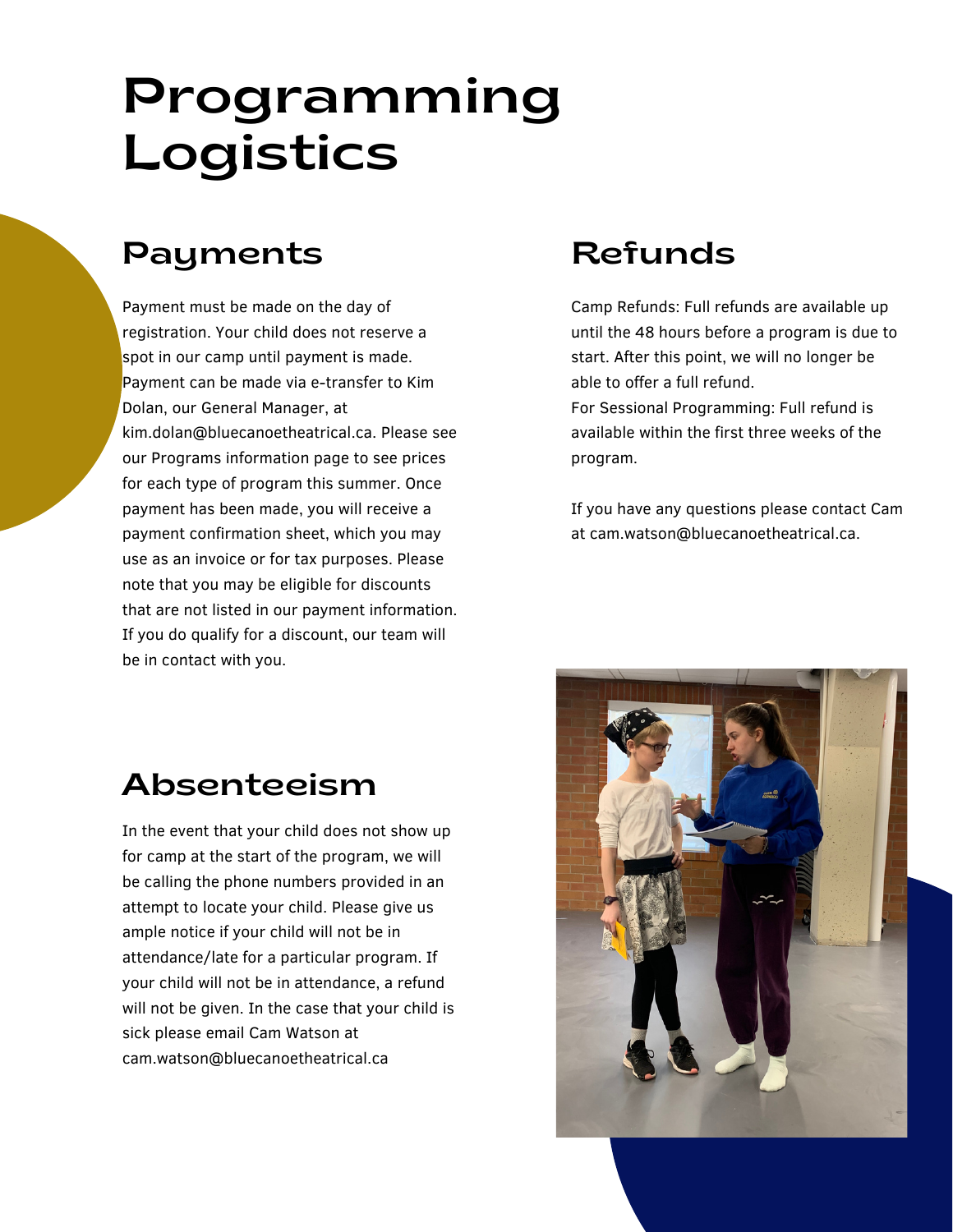### Programming Logistics

#### Payments Refunds

Payment must be made on the day of registration. Your child does not reserve a spot in our camp until payment is made. Payment can be made via e-transfer to Kim Dolan, our General Manager, at kim.dolan@bluecanoetheatrical.ca. Please see our Programs information page to see prices for each type of program this summer. Once payment has been made, you will receive a payment confirmation sheet, which you may use as an invoice or for tax purposes. Please note that you may be eligible for discounts that are not listed in our payment information. If you do qualify for a discount, our team will be in contact with you.

Camp Refunds: Full refunds are available up until the 48 hours before a program is due to start. After this point, we will no longer be able to offer a full refund.

For Sessional Programming: Full refund is available within the first three weeks of the program.

If you have any questions please contact Cam at cam.watson@bluecanoetheatrical.ca.

#### Absenteeism

In the event that your child does not show up for camp at the start of the program, we will be calling the phone numbers provided in an attempt to locate your child. Please give us ample notice if your child will not be in attendance/late for a particular program. If your child will not be in attendance, a refund will not be given. In the case that your child is sick please email Cam Watson at cam.watson@bluecanoetheatrical.ca

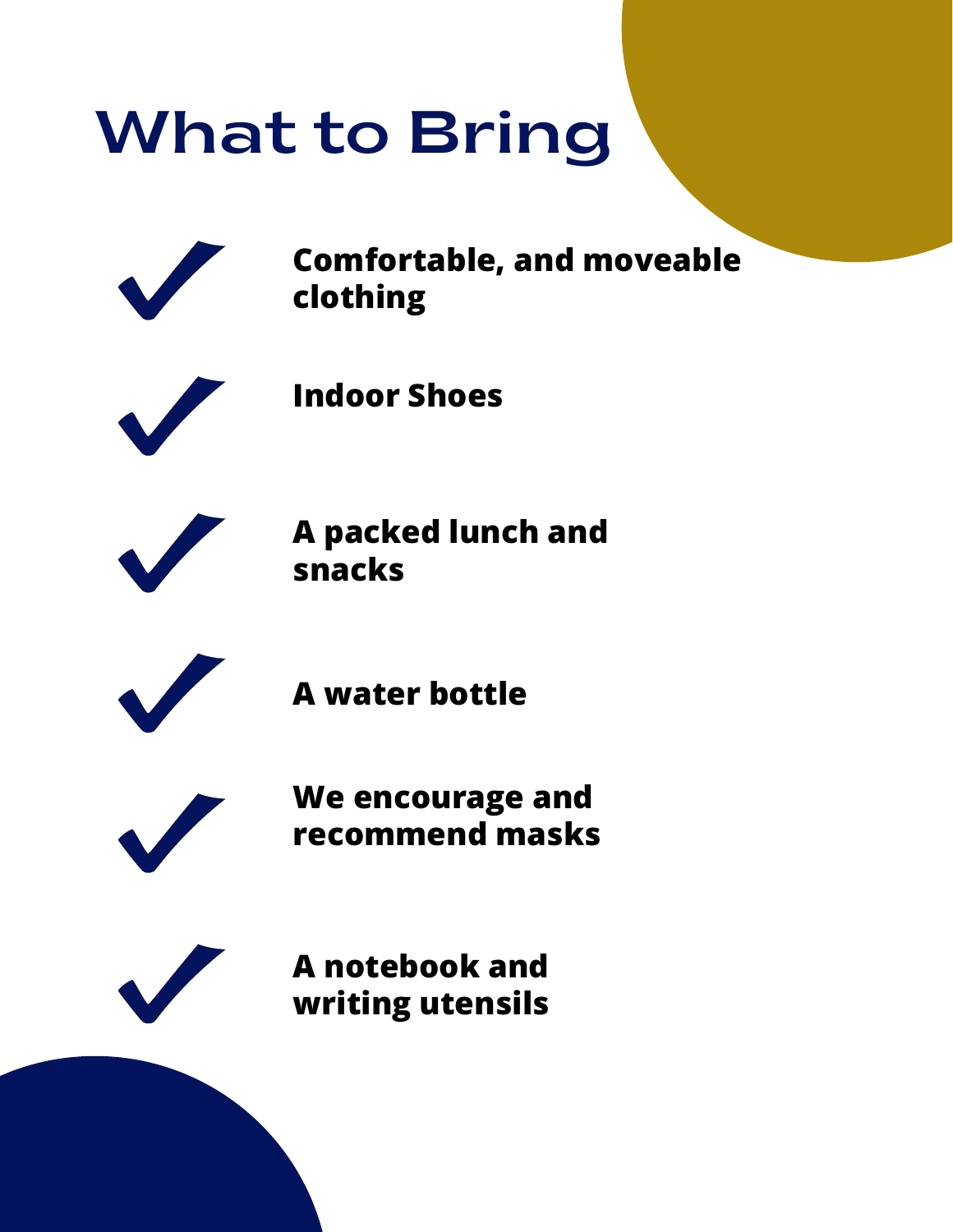## What to Bring



**Comfortable, and moveable clothing**



**Indoor Shoes**



**A packed lunch and snacks**



**A water bottle**



**We encourage and recommend masks**



**A notebook and writing utensils**